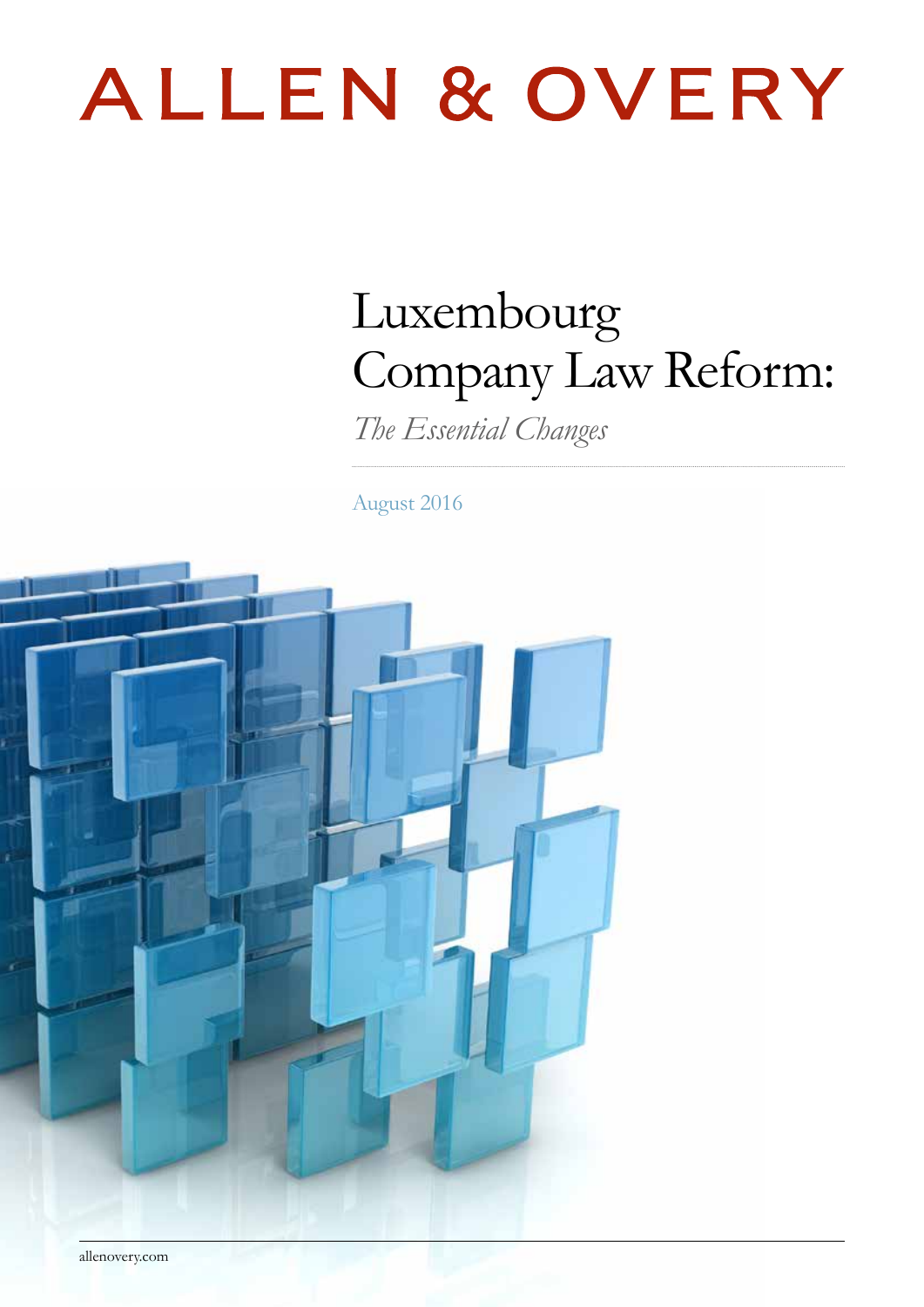# ALLEN & OVERY

## Luxembourg Company Law Reform:

*The Essential Changes*

August 2016



allenovery.com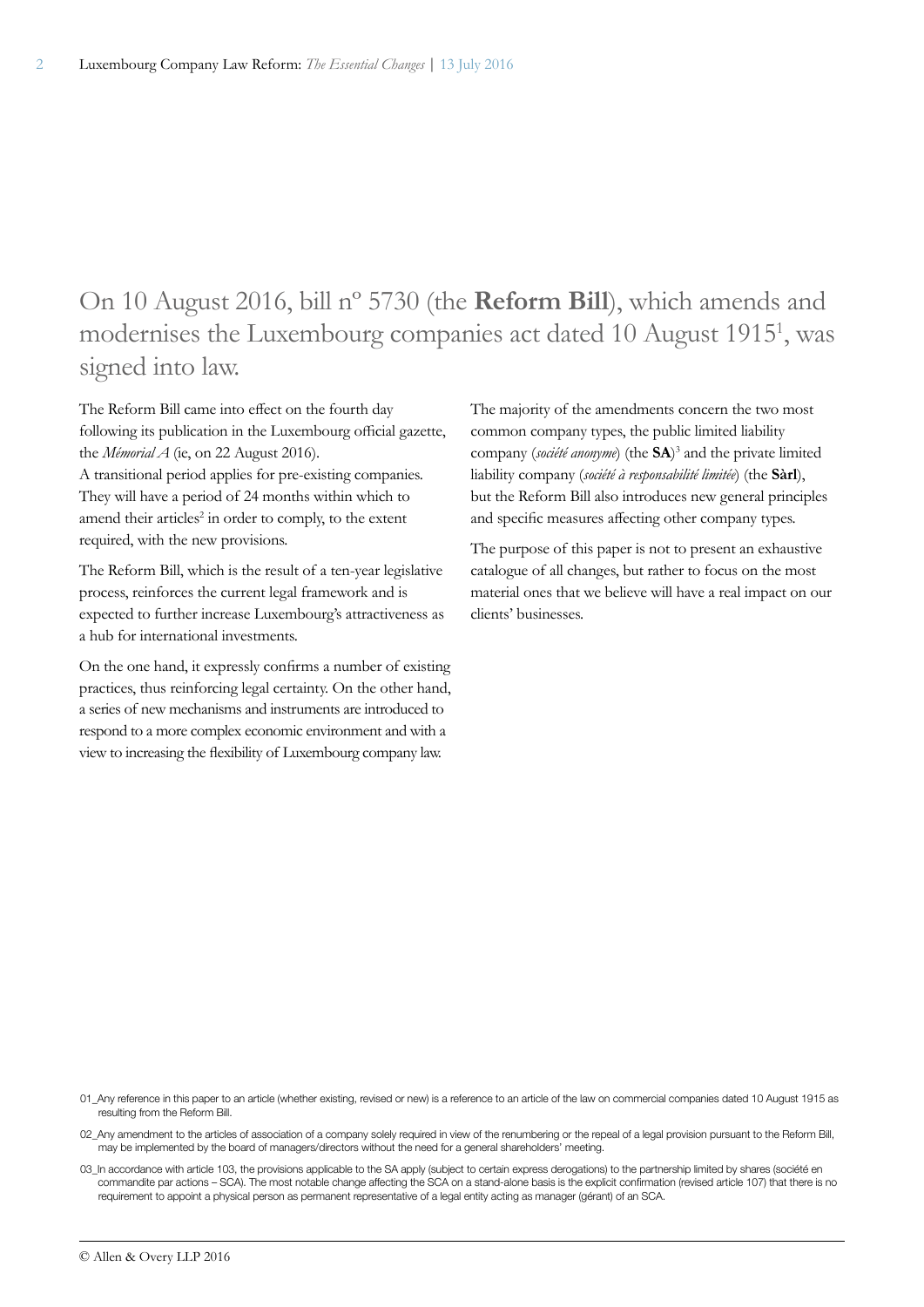### On 10 August 2016, bill nº 5730 (the **Reform Bill**), which amends and modernises the Luxembourg companies act dated 10 August 19151 , was signed into law.

The Reform Bill came into effect on the fourth day following its publication in the Luxembourg official gazette, the *Mémorial A* (ie, on 22 August 2016).

A transitional period applies for pre-existing companies. They will have a period of 24 months within which to amend their articles<sup>2</sup> in order to comply, to the extent required, with the new provisions.

The Reform Bill, which is the result of a ten-year legislative process, reinforces the current legal framework and is expected to further increase Luxembourg's attractiveness as a hub for international investments.

On the one hand, it expressly confirms a number of existing practices, thus reinforcing legal certainty. On the other hand, a series of new mechanisms and instruments are introduced to respond to a more complex economic environment and with a view to increasing the flexibility of Luxembourg company law.

The majority of the amendments concern the two most common company types, the public limited liability company (*société anonyme*) (the **SA**) 3 and the private limited liability company (*société à responsabilité limitée*) (the **Sàrl**), but the Reform Bill also introduces new general principles and specific measures affecting other company types.

The purpose of this paper is not to present an exhaustive catalogue of all changes, but rather to focus on the most material ones that we believe will have a real impact on our clients' businesses.

01 Any reference in this paper to an article (whether existing, revised or new) is a reference to an article of the law on commercial companies dated 10 August 1915 as resulting from the Reform Bill.

02\_Any amendment to the articles of association of a company solely required in view of the renumbering or the repeal of a legal provision pursuant to the Reform Bill, may be implemented by the board of managers/directors without the need for a general shareholders' meeting.

03\_In accordance with article 103, the provisions applicable to the SA apply (subject to certain express derogations) to the partnership limited by shares (société en commandite par actions – SCA). The most notable change affecting the SCA on a stand-alone basis is the explicit confirmation (revised article 107) that there is no requirement to appoint a physical person as permanent representative of a legal entity acting as manager (gérant) of an SCA.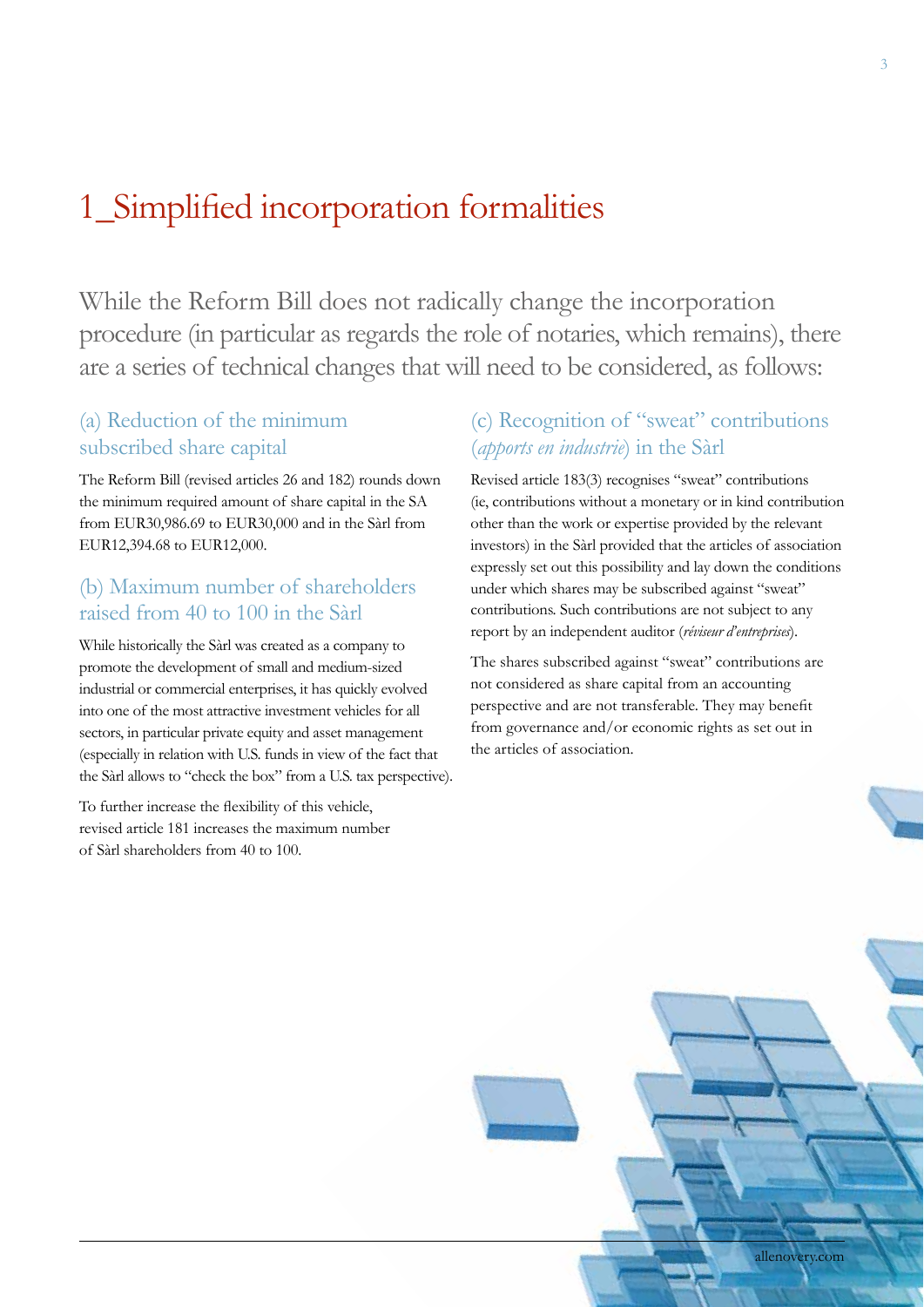### 1\_Simplified incorporation formalities

While the Reform Bill does not radically change the incorporation procedure (in particular as regards the role of notaries, which remains), there are a series of technical changes that will need to be considered, as follows:

#### (a) Reduction of the minimum subscribed share capital

The Reform Bill (revised articles 26 and 182) rounds down the minimum required amount of share capital in the SA from EUR30,986.69 to EUR30,000 and in the Sàrl from EUR12,394.68 to EUR12,000.

#### (b) Maximum number of shareholders raised from 40 to 100 in the Sàrl

While historically the Sàrl was created as a company to promote the development of small and medium-sized industrial or commercial enterprises, it has quickly evolved into one of the most attractive investment vehicles for all sectors, in particular private equity and asset management (especially in relation with U.S. funds in view of the fact that the Sàrl allows to "check the box" from a U.S. tax perspective).

To further increase the flexibility of this vehicle, revised article 181 increases the maximum number of Sàrl shareholders from 40 to 100.

### (c) Recognition of "sweat" contributions (*apports en industrie*) in the Sàrl

Revised article 183(3) recognises "sweat" contributions (ie, contributions without a monetary or in kind contribution other than the work or expertise provided by the relevant investors) in the Sàrl provided that the articles of association expressly set out this possibility and lay down the conditions under which shares may be subscribed against "sweat" contributions. Such contributions are not subject to any report by an independent auditor (*réviseur d'entreprises*).

The shares subscribed against "sweat" contributions are not considered as share capital from an accounting perspective and are not transferable. They may benefit from governance and/or economic rights as set out in the articles of association.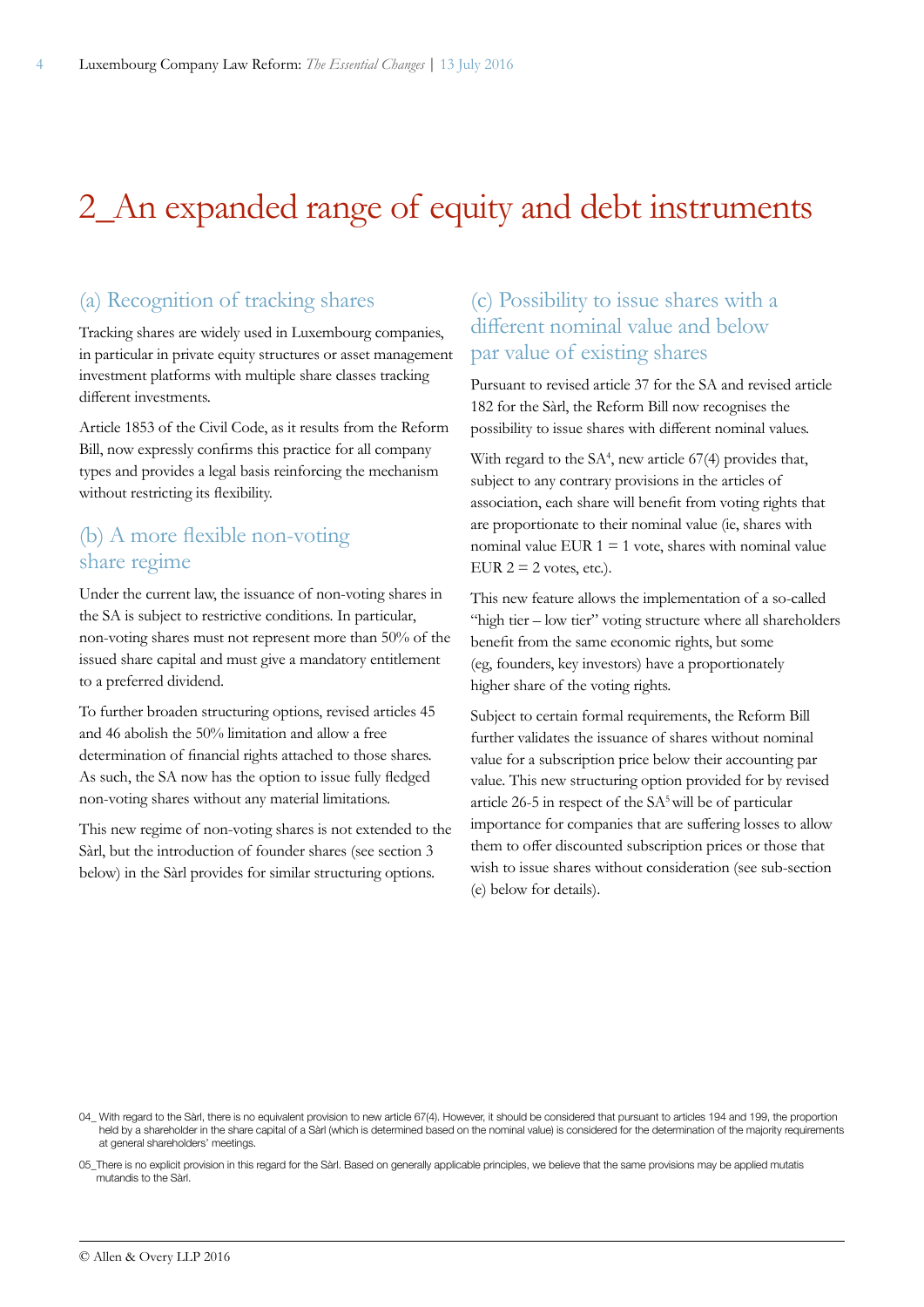### 2\_An expanded range of equity and debt instruments

#### (a) Recognition of tracking shares

Tracking shares are widely used in Luxembourg companies, in particular in private equity structures or asset management investment platforms with multiple share classes tracking different investments.

Article 1853 of the Civil Code, as it results from the Reform Bill, now expressly confirms this practice for all company types and provides a legal basis reinforcing the mechanism without restricting its flexibility.

#### (b) A more flexible non-voting share regime

Under the current law, the issuance of non-voting shares in the SA is subject to restrictive conditions. In particular, non-voting shares must not represent more than 50% of the issued share capital and must give a mandatory entitlement to a preferred dividend.

To further broaden structuring options, revised articles 45 and 46 abolish the 50% limitation and allow a free determination of financial rights attached to those shares. As such, the SA now has the option to issue fully fledged non-voting shares without any material limitations.

This new regime of non-voting shares is not extended to the Sàrl, but the introduction of founder shares (see section 3 below) in the Sàrl provides for similar structuring options.

### (c) Possibility to issue shares with a different nominal value and below par value of existing shares

Pursuant to revised article 37 for the SA and revised article 182 for the Sàrl, the Reform Bill now recognises the possibility to issue shares with different nominal values.

With regard to the SA<sup>4</sup>, new article 67(4) provides that, subject to any contrary provisions in the articles of association, each share will benefit from voting rights that are proportionate to their nominal value (ie, shares with nominal value EUR  $1 = 1$  vote, shares with nominal value EUR  $2 = 2$  votes, etc.).

This new feature allows the implementation of a so-called "high tier – low tier" voting structure where all shareholders benefit from the same economic rights, but some (eg, founders, key investors) have a proportionately higher share of the voting rights.

Subject to certain formal requirements, the Reform Bill further validates the issuance of shares without nominal value for a subscription price below their accounting par value. This new structuring option provided for by revised article 26-5 in respect of the SA5 will be of particular importance for companies that are suffering losses to allow them to offer discounted subscription prices or those that wish to issue shares without consideration (see sub-section (e) below for details).

<sup>04</sup>\_ With regard to the Sàrl, there is no equivalent provision to new article 67(4). However, it should be considered that pursuant to articles 194 and 199. the proportion held by a shareholder in the share capital of a Sàrl (which is determined based on the nominal value) is considered for the determination of the majority requirements at general shareholders' meetings.

<sup>05</sup>\_There is no explicit provision in this regard for the Sàrl. Based on generally applicable principles, we believe that the same provisions may be applied mutatis mutandis to the Sàrl.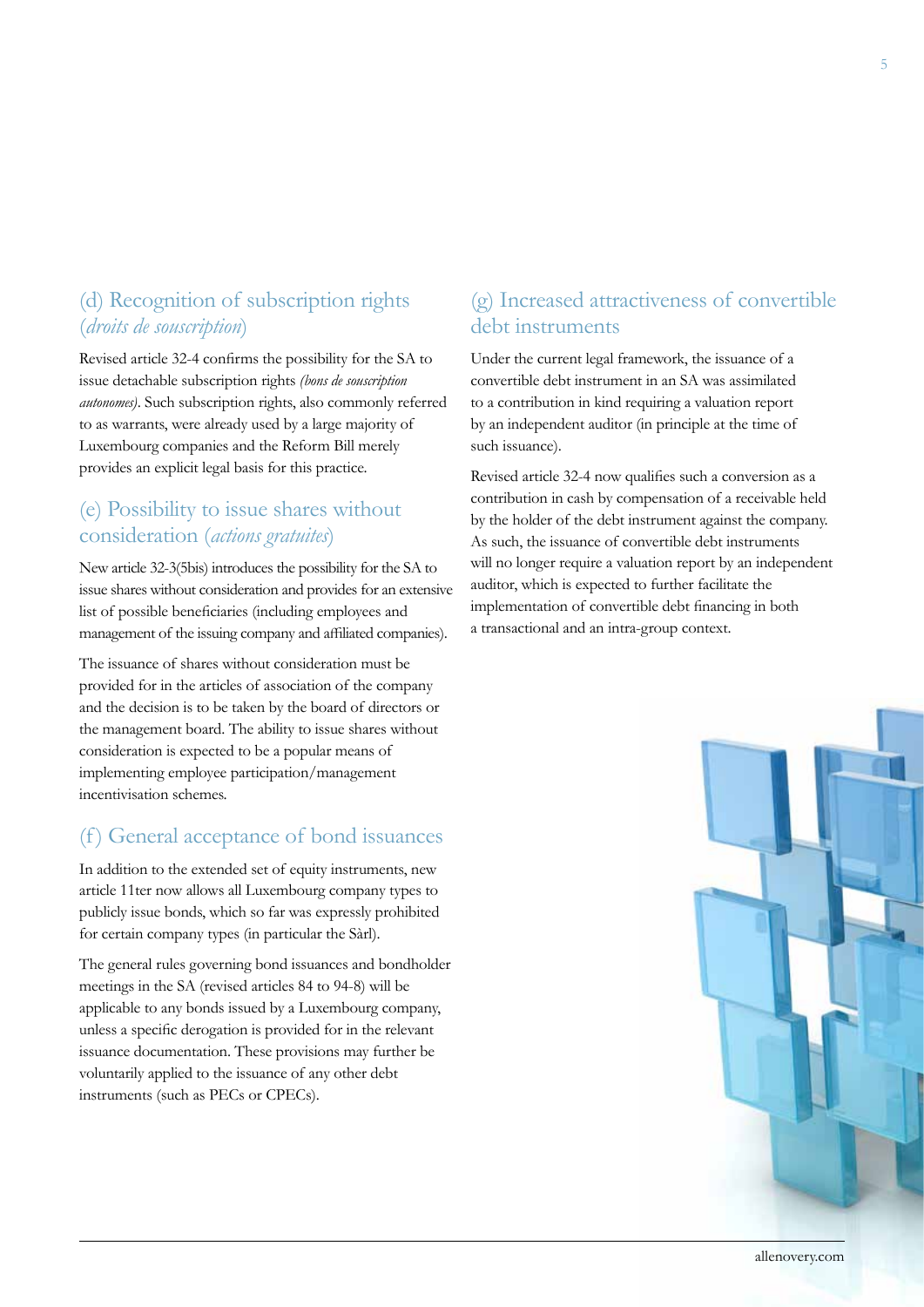### (d) Recognition of subscription rights (*droits de souscription*)

Revised article 32-4 confirms the possibility for the SA to issue detachable subscription rights *(bons de souscription autonomes)*. Such subscription rights, also commonly referred to as warrants, were already used by a large majority of Luxembourg companies and the Reform Bill merely provides an explicit legal basis for this practice.

### (e) Possibility to issue shares without consideration (*actions gratuites*)

New article 32-3(5bis) introduces the possibility for the SA to issue shares without consideration and provides for an extensive list of possible beneficiaries (including employees and management of the issuing company and affiliated companies).

The issuance of shares without consideration must be provided for in the articles of association of the company and the decision is to be taken by the board of directors or the management board. The ability to issue shares without consideration is expected to be a popular means of implementing employee participation/management incentivisation schemes.

### (f) General acceptance of bond issuances

In addition to the extended set of equity instruments, new article 11ter now allows all Luxembourg company types to publicly issue bonds, which so far was expressly prohibited for certain company types (in particular the Sàrl).

The general rules governing bond issuances and bondholder meetings in the SA (revised articles 84 to 94-8) will be applicable to any bonds issued by a Luxembourg company, unless a specific derogation is provided for in the relevant issuance documentation. These provisions may further be voluntarily applied to the issuance of any other debt instruments (such as PECs or CPECs).

### (g) Increased attractiveness of convertible debt instruments

Under the current legal framework, the issuance of a convertible debt instrument in an SA was assimilated to a contribution in kind requiring a valuation report by an independent auditor (in principle at the time of such issuance).

Revised article 32-4 now qualifies such a conversion as a contribution in cash by compensation of a receivable held by the holder of the debt instrument against the company. As such, the issuance of convertible debt instruments will no longer require a valuation report by an independent auditor, which is expected to further facilitate the implementation of convertible debt financing in both a transactional and an intra-group context.

allenovery.com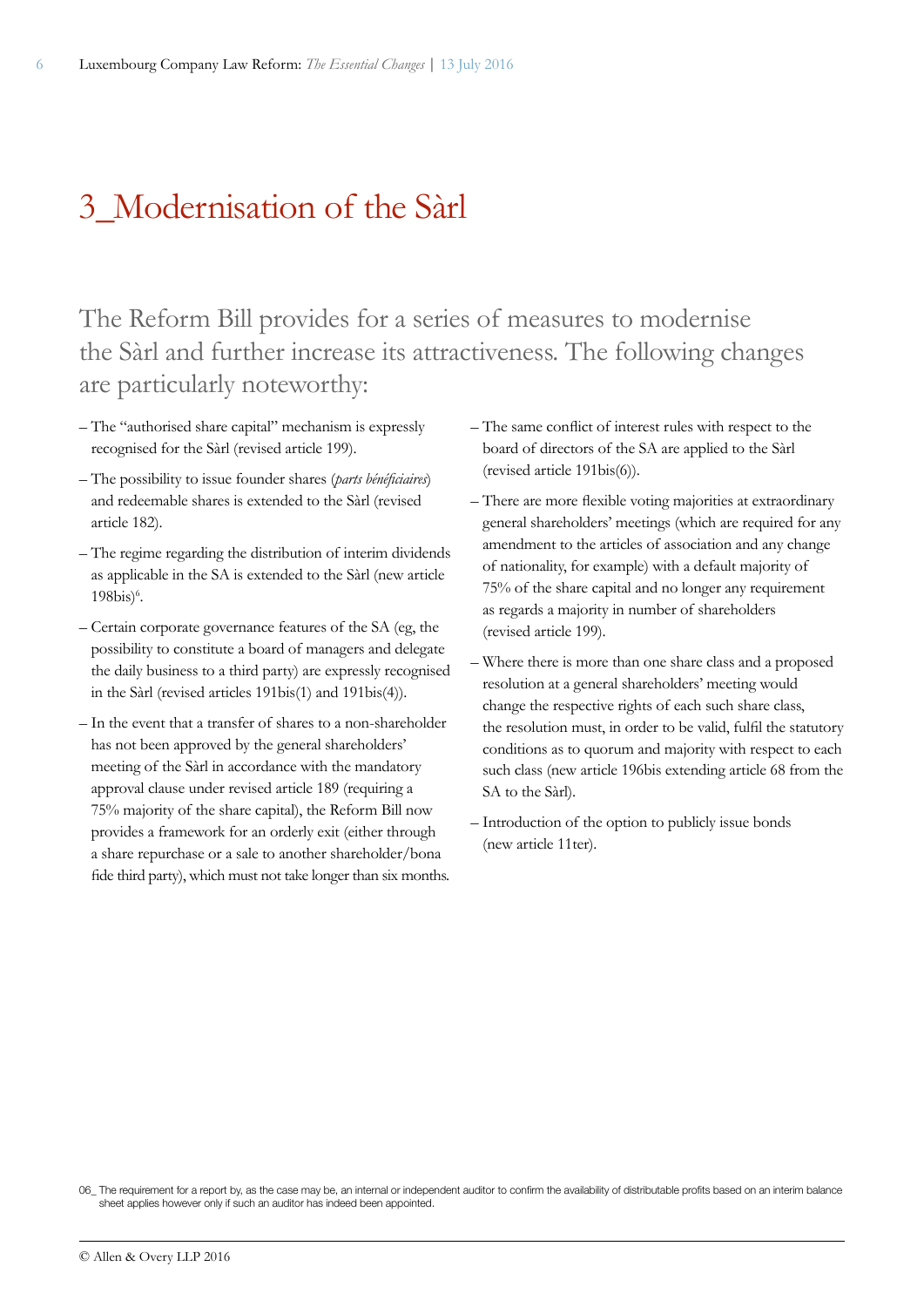### 3\_Modernisation of the Sàrl

The Reform Bill provides for a series of measures to modernise the Sàrl and further increase its attractiveness. The following changes are particularly noteworthy:

- The "authorised share capital" mechanism is expressly recognised for the Sàrl (revised article 199).
- The possibility to issue founder shares (*parts bénéficiaires*) and redeemable shares is extended to the Sàrl (revised article 182).
- The regime regarding the distribution of interim dividends as applicable in the SA is extended to the Sàrl (new article  $198$ bis $)^6$ .
- Certain corporate governance features of the SA (eg, the possibility to constitute a board of managers and delegate the daily business to a third party) are expressly recognised in the Sàrl (revised articles 191bis(1) and 191bis(4)).
- In the event that a transfer of shares to a non-shareholder has not been approved by the general shareholders' meeting of the Sàrl in accordance with the mandatory approval clause under revised article 189 (requiring a 75% majority of the share capital), the Reform Bill now provides a framework for an orderly exit (either through a share repurchase or a sale to another shareholder/bona fide third party), which must not take longer than six months.
- The same conflict of interest rules with respect to the board of directors of the SA are applied to the Sàrl (revised article 191bis(6)).
- There are more flexible voting majorities at extraordinary general shareholders' meetings (which are required for any amendment to the articles of association and any change of nationality, for example) with a default majority of 75% of the share capital and no longer any requirement as regards a majority in number of shareholders (revised article 199).
- Where there is more than one share class and a proposed resolution at a general shareholders' meeting would change the respective rights of each such share class, the resolution must, in order to be valid, fulfil the statutory conditions as to quorum and majority with respect to each such class (new article 196bis extending article 68 from the SA to the Sàrl).
- Introduction of the option to publicly issue bonds (new article 11ter).

<sup>06.</sup> The requirement for a report by, as the case may be, an internal or independent auditor to confirm the availability of distributable profits based on an interim balance sheet applies however only if such an auditor has indeed been appointed.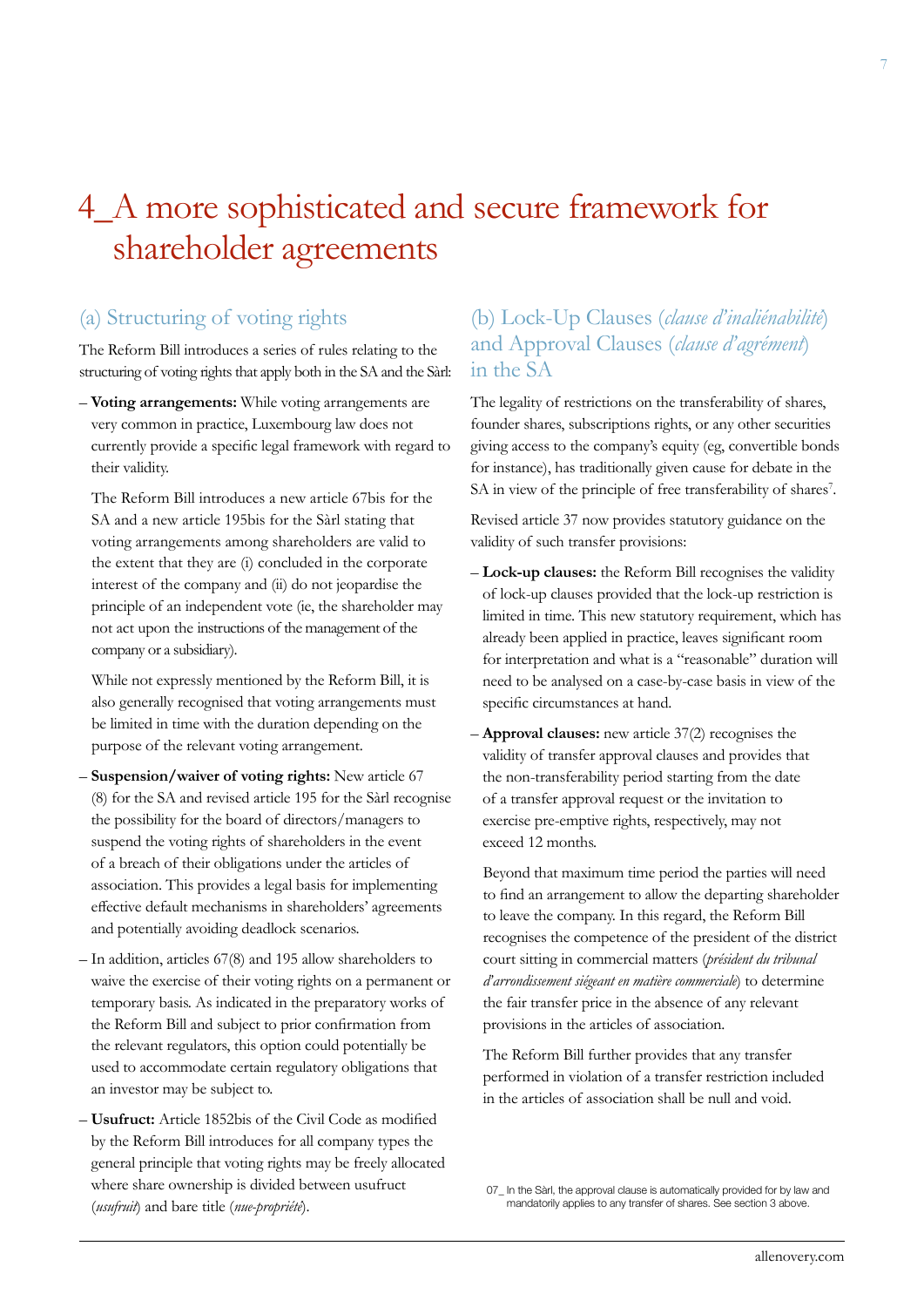### 4\_A more sophisticated and secure framework for shareholder agreements

### (a) Structuring of voting rights

The Reform Bill introduces a series of rules relating to the structuring of voting rights that apply both in the SA and the Sàrl:

– **Voting arrangements:** While voting arrangements are very common in practice, Luxembourg law does not currently provide a specific legal framework with regard to their validity.

The Reform Bill introduces a new article 67bis for the SA and a new article 195bis for the Sàrl stating that voting arrangements among shareholders are valid to the extent that they are (i) concluded in the corporate interest of the company and (ii) do not jeopardise the principle of an independent vote (ie, the shareholder may not act upon the instructions of the management of the company or a subsidiary).

While not expressly mentioned by the Reform Bill, it is also generally recognised that voting arrangements must be limited in time with the duration depending on the purpose of the relevant voting arrangement.

- **Suspension/waiver of voting rights:** New article 67 (8) for the SA and revised article 195 for the Sàrl recognise the possibility for the board of directors/managers to suspend the voting rights of shareholders in the event of a breach of their obligations under the articles of association. This provides a legal basis for implementing effective default mechanisms in shareholders' agreements and potentially avoiding deadlock scenarios.
- In addition, articles 67(8) and 195 allow shareholders to waive the exercise of their voting rights on a permanent or temporary basis. As indicated in the preparatory works of the Reform Bill and subject to prior confirmation from the relevant regulators, this option could potentially be used to accommodate certain regulatory obligations that an investor may be subject to.
- **Usufruct:** Article 1852bis of the Civil Code as modified by the Reform Bill introduces for all company types the general principle that voting rights may be freely allocated where share ownership is divided between usufruct (*usufruit*) and bare title (*nue-propriété*).

### (b) Lock-Up Clauses (*clause d'inaliénabilité*) and Approval Clauses (*clause d'agrément*) in the SA

The legality of restrictions on the transferability of shares, founder shares, subscriptions rights, or any other securities giving access to the company's equity (eg, convertible bonds for instance), has traditionally given cause for debate in the SA in view of the principle of free transferability of shares<sup>7</sup>.

Revised article 37 now provides statutory guidance on the validity of such transfer provisions:

- **Lock-up clauses:** the Reform Bill recognises the validity of lock-up clauses provided that the lock-up restriction is limited in time. This new statutory requirement, which has already been applied in practice, leaves significant room for interpretation and what is a "reasonable" duration will need to be analysed on a case-by-case basis in view of the specific circumstances at hand.
- **Approval clauses:** new article 37(2) recognises the validity of transfer approval clauses and provides that the non-transferability period starting from the date of a transfer approval request or the invitation to exercise pre-emptive rights, respectively, may not exceed 12 months.

Beyond that maximum time period the parties will need to find an arrangement to allow the departing shareholder to leave the company. In this regard, the Reform Bill recognises the competence of the president of the district court sitting in commercial matters (*président du tribunal d'arrondissement siégeant en matière commerciale*) to determine the fair transfer price in the absence of any relevant provisions in the articles of association.

The Reform Bill further provides that any transfer performed in violation of a transfer restriction included in the articles of association shall be null and void.

<sup>07</sup>\_ In the Sàrl, the approval clause is automatically provided for by law and mandatorily applies to any transfer of shares. See section 3 above.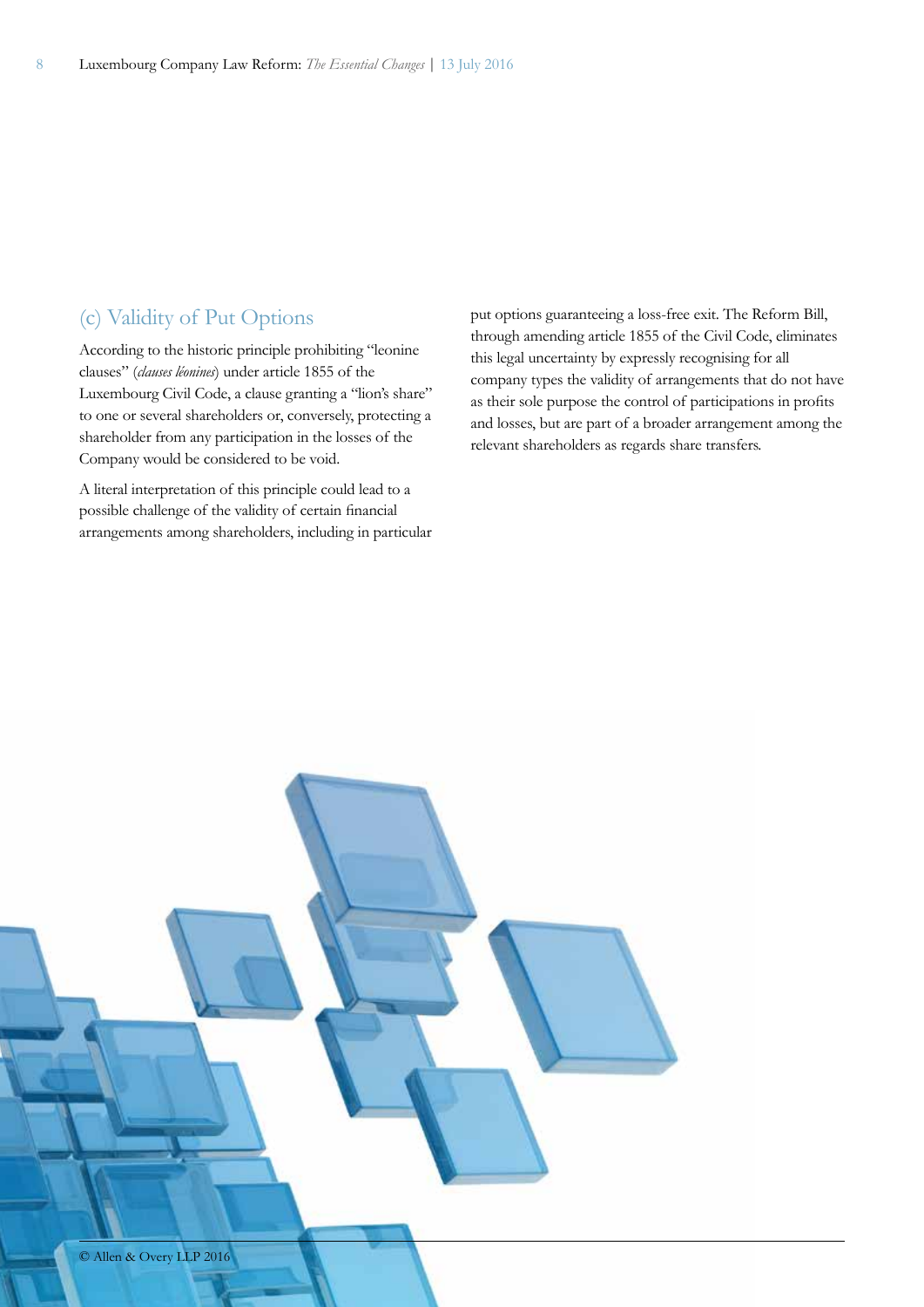#### (c) Validity of Put Options

According to the historic principle prohibiting "leonine clauses" (*clauses léonines*) under article 1855 of the Luxembourg Civil Code, a clause granting a "lion's share" to one or several shareholders or, conversely, protecting a shareholder from any participation in the losses of the Company would be considered to be void.

A literal interpretation of this principle could lead to a possible challenge of the validity of certain financial arrangements among shareholders, including in particular put options guaranteeing a loss-free exit. The Reform Bill, through amending article 1855 of the Civil Code, eliminates this legal uncertainty by expressly recognising for all company types the validity of arrangements that do not have as their sole purpose the control of participations in profits and losses, but are part of a broader arrangement among the relevant shareholders as regards share transfers.

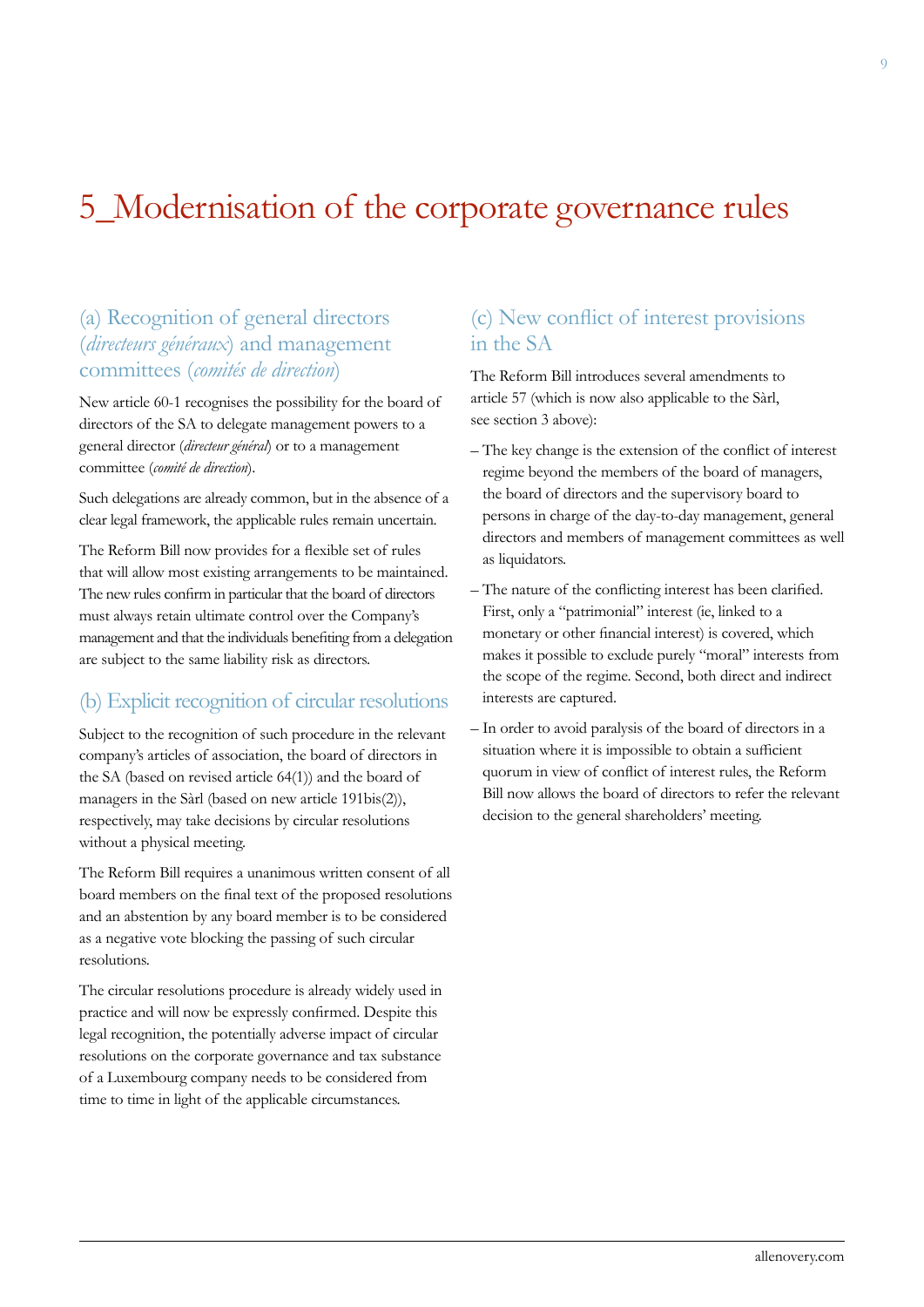### 5\_Modernisation of the corporate governance rules

### (a) Recognition of general directors (*directeurs généraux*) and management committees (*comités de direction*)

New article 60-1 recognises the possibility for the board of directors of the SA to delegate management powers to a general director (*directeur général*) or to a management committee (*comité de direction*).

Such delegations are already common, but in the absence of a clear legal framework, the applicable rules remain uncertain.

The Reform Bill now provides for a flexible set of rules that will allow most existing arrangements to be maintained. The new rules confirm in particular that the board of directors must always retain ultimate control over the Company's management and that the individuals benefiting from a delegation are subject to the same liability risk as directors.

#### (b) Explicit recognition of circular resolutions

Subject to the recognition of such procedure in the relevant company's articles of association, the board of directors in the SA (based on revised article 64(1)) and the board of managers in the Sàrl (based on new article 191bis(2)), respectively, may take decisions by circular resolutions without a physical meeting.

The Reform Bill requires a unanimous written consent of all board members on the final text of the proposed resolutions and an abstention by any board member is to be considered as a negative vote blocking the passing of such circular resolutions.

The circular resolutions procedure is already widely used in practice and will now be expressly confirmed. Despite this legal recognition, the potentially adverse impact of circular resolutions on the corporate governance and tax substance of a Luxembourg company needs to be considered from time to time in light of the applicable circumstances.

#### (c) New conflict of interest provisions in the SA

The Reform Bill introduces several amendments to article 57 (which is now also applicable to the Sàrl, see section 3 above):

- The key change is the extension of the conflict of interest regime beyond the members of the board of managers, the board of directors and the supervisory board to persons in charge of the day-to-day management, general directors and members of management committees as well as liquidators.
- The nature of the conflicting interest has been clarified. First, only a "patrimonial" interest (ie, linked to a monetary or other financial interest) is covered, which makes it possible to exclude purely "moral" interests from the scope of the regime. Second, both direct and indirect interests are captured.
- In order to avoid paralysis of the board of directors in a situation where it is impossible to obtain a sufficient quorum in view of conflict of interest rules, the Reform Bill now allows the board of directors to refer the relevant decision to the general shareholders' meeting.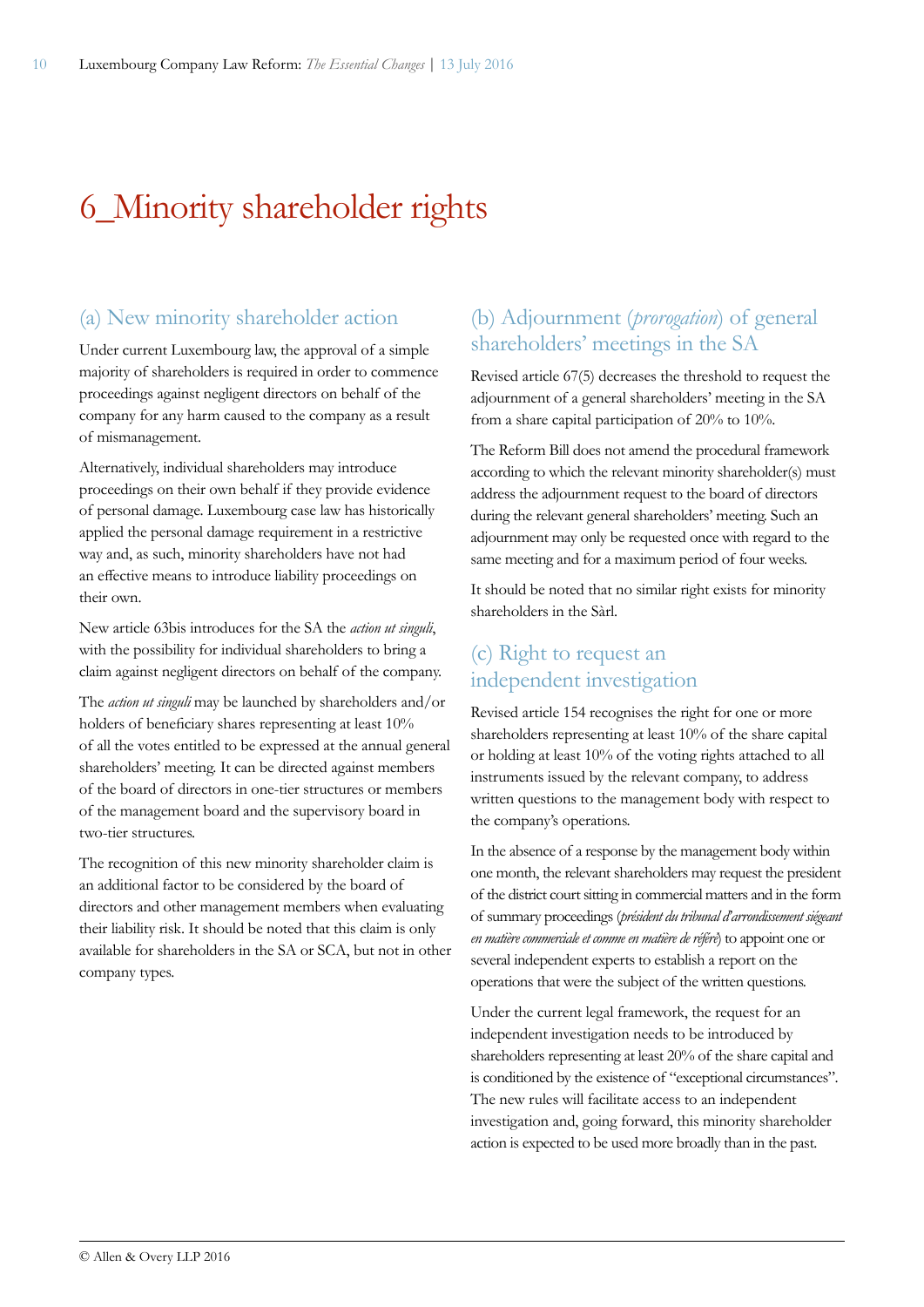### 6\_Minority shareholder rights

### (a) New minority shareholder action

Under current Luxembourg law, the approval of a simple majority of shareholders is required in order to commence proceedings against negligent directors on behalf of the company for any harm caused to the company as a result of mismanagement.

Alternatively, individual shareholders may introduce proceedings on their own behalf if they provide evidence of personal damage. Luxembourg case law has historically applied the personal damage requirement in a restrictive way and, as such, minority shareholders have not had an effective means to introduce liability proceedings on their own.

New article 63bis introduces for the SA the *action ut singuli*, with the possibility for individual shareholders to bring a claim against negligent directors on behalf of the company.

The *action ut singuli* may be launched by shareholders and/or holders of beneficiary shares representing at least 10% of all the votes entitled to be expressed at the annual general shareholders' meeting. It can be directed against members of the board of directors in one-tier structures or members of the management board and the supervisory board in two-tier structures.

The recognition of this new minority shareholder claim is an additional factor to be considered by the board of directors and other management members when evaluating their liability risk. It should be noted that this claim is only available for shareholders in the SA or SCA, but not in other company types.

### (b) Adjournment (*prorogation*) of general shareholders' meetings in the SA

Revised article 67(5) decreases the threshold to request the adjournment of a general shareholders' meeting in the SA from a share capital participation of 20% to 10%.

The Reform Bill does not amend the procedural framework according to which the relevant minority shareholder(s) must address the adjournment request to the board of directors during the relevant general shareholders' meeting. Such an adjournment may only be requested once with regard to the same meeting and for a maximum period of four weeks.

It should be noted that no similar right exists for minority shareholders in the Sàrl.

### (c) Right to request an independent investigation

Revised article 154 recognises the right for one or more shareholders representing at least 10% of the share capital or holding at least 10% of the voting rights attached to all instruments issued by the relevant company, to address written questions to the management body with respect to the company's operations.

In the absence of a response by the management body within one month, the relevant shareholders may request the president of the district court sitting in commercial matters and in the form of summary proceedings (*président du tribunal d'arrondissement siégeant en matière commerciale et comme en matière de référé*) to appoint one or several independent experts to establish a report on the operations that were the subject of the written questions.

Under the current legal framework, the request for an independent investigation needs to be introduced by shareholders representing at least 20% of the share capital and is conditioned by the existence of "exceptional circumstances". The new rules will facilitate access to an independent investigation and, going forward, this minority shareholder action is expected to be used more broadly than in the past.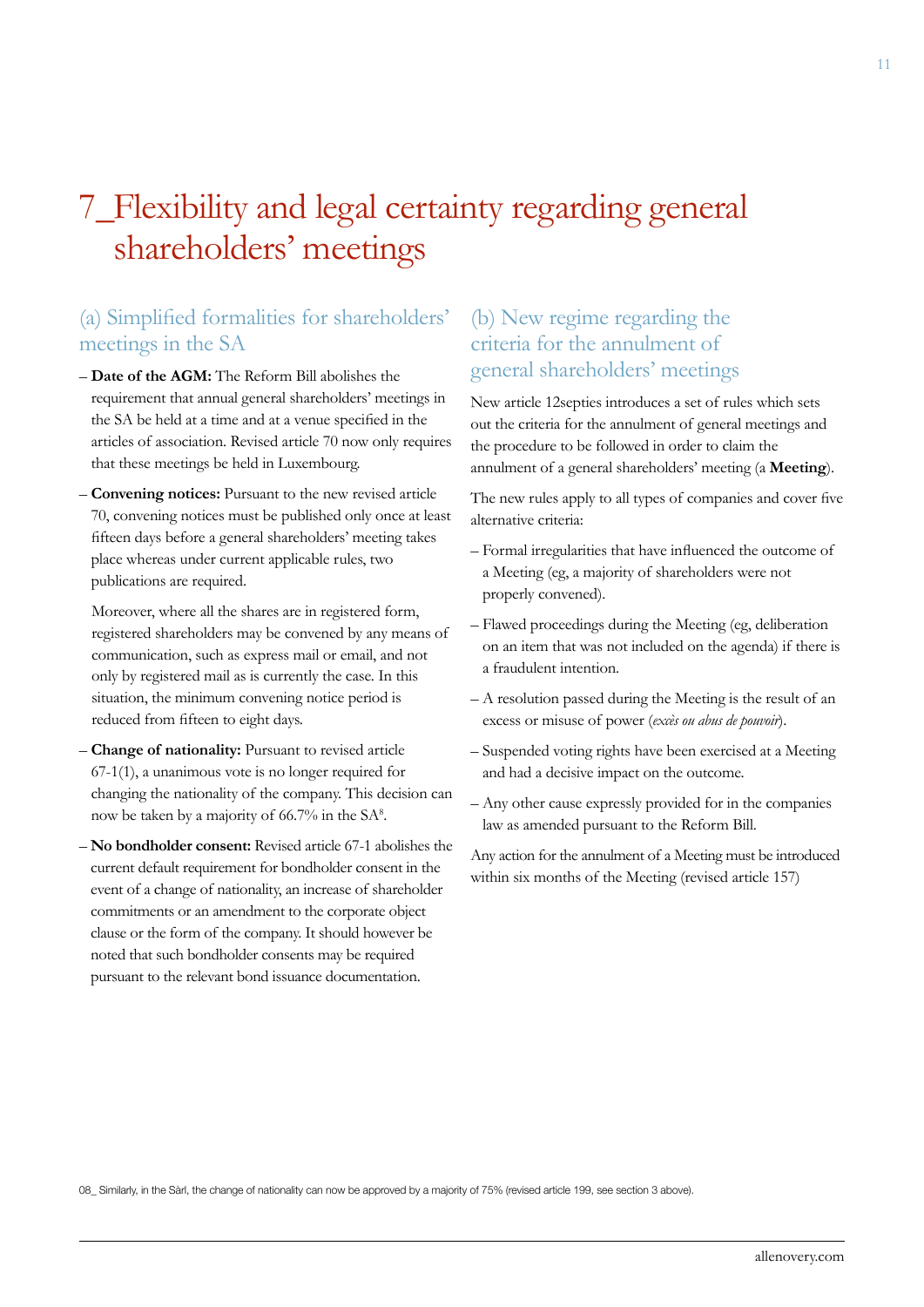### 7\_Flexibility and legal certainty regarding general shareholders' meetings

### (a) Simplified formalities for shareholders' meetings in the SA

- **Date of the AGM:** The Reform Bill abolishes the requirement that annual general shareholders' meetings in the SA be held at a time and at a venue specified in the articles of association. Revised article 70 now only requires that these meetings be held in Luxembourg.
- **Convening notices:** Pursuant to the new revised article 70, convening notices must be published only once at least fifteen days before a general shareholders' meeting takes place whereas under current applicable rules, two publications are required.

Moreover, where all the shares are in registered form, registered shareholders may be convened by any means of communication, such as express mail or email, and not only by registered mail as is currently the case. In this situation, the minimum convening notice period is reduced from fifteen to eight days.

- **Change of nationality:** Pursuant to revised article 67-1(1), a unanimous vote is no longer required for changing the nationality of the company. This decision can now be taken by a majority of 66.7% in the SA<sup>8</sup>.
- **No bondholder consent:** Revised article 67-1 abolishes the current default requirement for bondholder consent in the event of a change of nationality, an increase of shareholder commitments or an amendment to the corporate object clause or the form of the company. It should however be noted that such bondholder consents may be required pursuant to the relevant bond issuance documentation.

### (b) New regime regarding the criteria for the annulment of general shareholders' meetings

New article 12septies introduces a set of rules which sets out the criteria for the annulment of general meetings and the procedure to be followed in order to claim the annulment of a general shareholders' meeting (a **Meeting**).

The new rules apply to all types of companies and cover five alternative criteria:

- Formal irregularities that have influenced the outcome of a Meeting (eg, a majority of shareholders were not properly convened).
- Flawed proceedings during the Meeting (eg, deliberation on an item that was not included on the agenda) if there is a fraudulent intention.
- A resolution passed during the Meeting is the result of an excess or misuse of power (*excès ou abus de pouvoir*).
- Suspended voting rights have been exercised at a Meeting and had a decisive impact on the outcome.
- Any other cause expressly provided for in the companies law as amended pursuant to the Reform Bill.

Any action for the annulment of a Meeting must be introduced within six months of the Meeting (revised article 157)

08\_ Similarly, in the Sàrl, the change of nationality can now be approved by a majority of 75% (revised article 199, see section 3 above).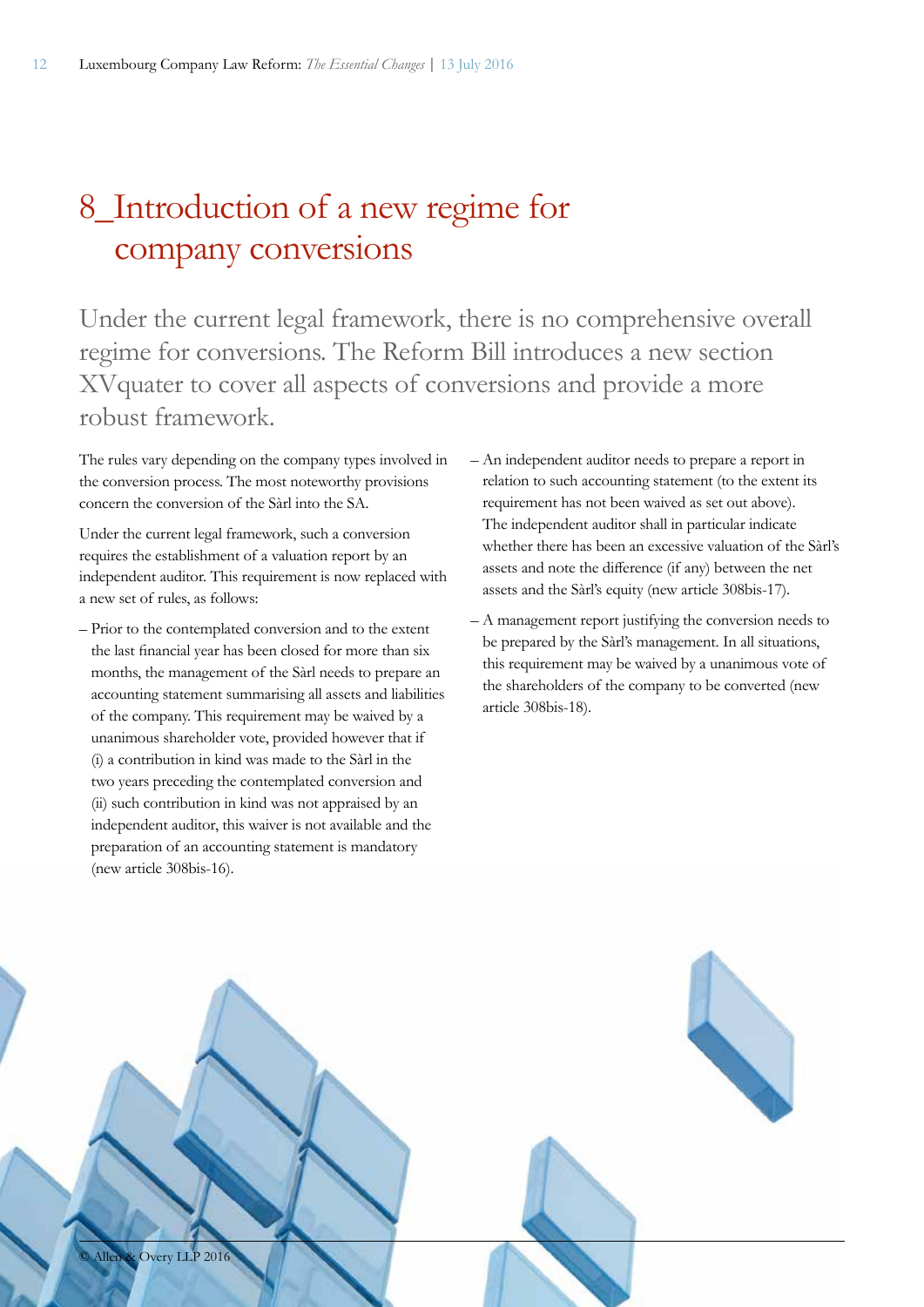### 8\_Introduction of a new regime for company conversions

Under the current legal framework, there is no comprehensive overall regime for conversions. The Reform Bill introduces a new section XVquater to cover all aspects of conversions and provide a more robust framework.

The rules vary depending on the company types involved in the conversion process. The most noteworthy provisions concern the conversion of the Sàrl into the SA.

Under the current legal framework, such a conversion requires the establishment of a valuation report by an independent auditor. This requirement is now replaced with a new set of rules, as follows:

- Prior to the contemplated conversion and to the extent the last financial year has been closed for more than six months, the management of the Sàrl needs to prepare an accounting statement summarising all assets and liabilities of the company. This requirement may be waived by a unanimous shareholder vote, provided however that if (i) a contribution in kind was made to the Sàrl in the two years preceding the contemplated conversion and (ii) such contribution in kind was not appraised by an independent auditor, this waiver is not available and the preparation of an accounting statement is mandatory (new article 308bis-16).
- An independent auditor needs to prepare a report in relation to such accounting statement (to the extent its requirement has not been waived as set out above). The independent auditor shall in particular indicate whether there has been an excessive valuation of the Sàrl's assets and note the difference (if any) between the net assets and the Sàrl's equity (new article 308bis-17).
- A management report justifying the conversion needs to be prepared by the Sàrl's management. In all situations, this requirement may be waived by a unanimous vote of the shareholders of the company to be converted (new article 308bis-18).

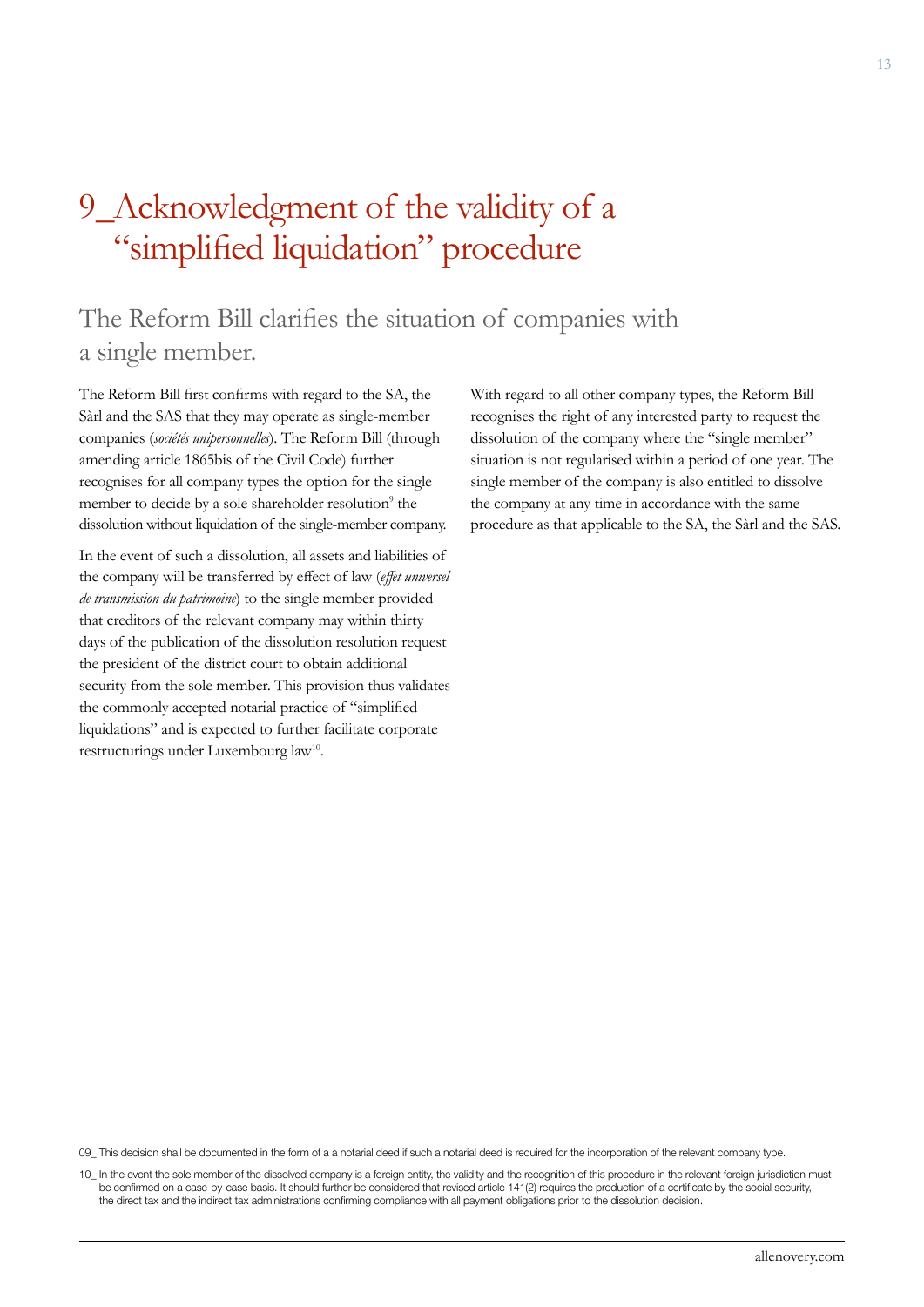### 9\_Acknowledgment of the validity of a "simplified liquidation" procedure

### The Reform Bill clarifies the situation of companies with a single member.

The Reform Bill first confirms with regard to the SA, the Sàrl and the SAS that they may operate as single-member companies (*sociétés unipersonnelles*). The Reform Bill (through amending article 1865bis of the Civil Code) further recognises for all company types the option for the single member to decide by a sole shareholder resolution<sup>9</sup> the dissolution without liquidation of the single-member company.

In the event of such a dissolution, all assets and liabilities of the company will be transferred by effect of law (*effet universel de transmission du patrimoine*) to the single member provided that creditors of the relevant company may within thirty days of the publication of the dissolution resolution request the president of the district court to obtain additional security from the sole member. This provision thus validates the commonly accepted notarial practice of "simplified liquidations" and is expected to further facilitate corporate restructurings under Luxembourg law<sup>10</sup>.

With regard to all other company types, the Reform Bill recognises the right of any interested party to request the dissolution of the company where the "single member" situation is not regularised within a period of one year. The single member of the company is also entitled to dissolve the company at any time in accordance with the same procedure as that applicable to the SA, the Sàrl and the SAS.

09\_ This decision shall be documented in the form of a a notarial deed if such a notarial deed is required for the incorporation of the relevant company type.

10\_ In the event the sole member of the dissolved company is a foreign entity, the validity and the recognition of this procedure in the relevant foreign jurisdiction must be confirmed on a case-by-case basis. It should further be considered that revised article 141(2) requires the production of a certificate by the social security, the direct tax and the indirect tax administrations confirming compliance with all payment obligations prior to the dissolution decision.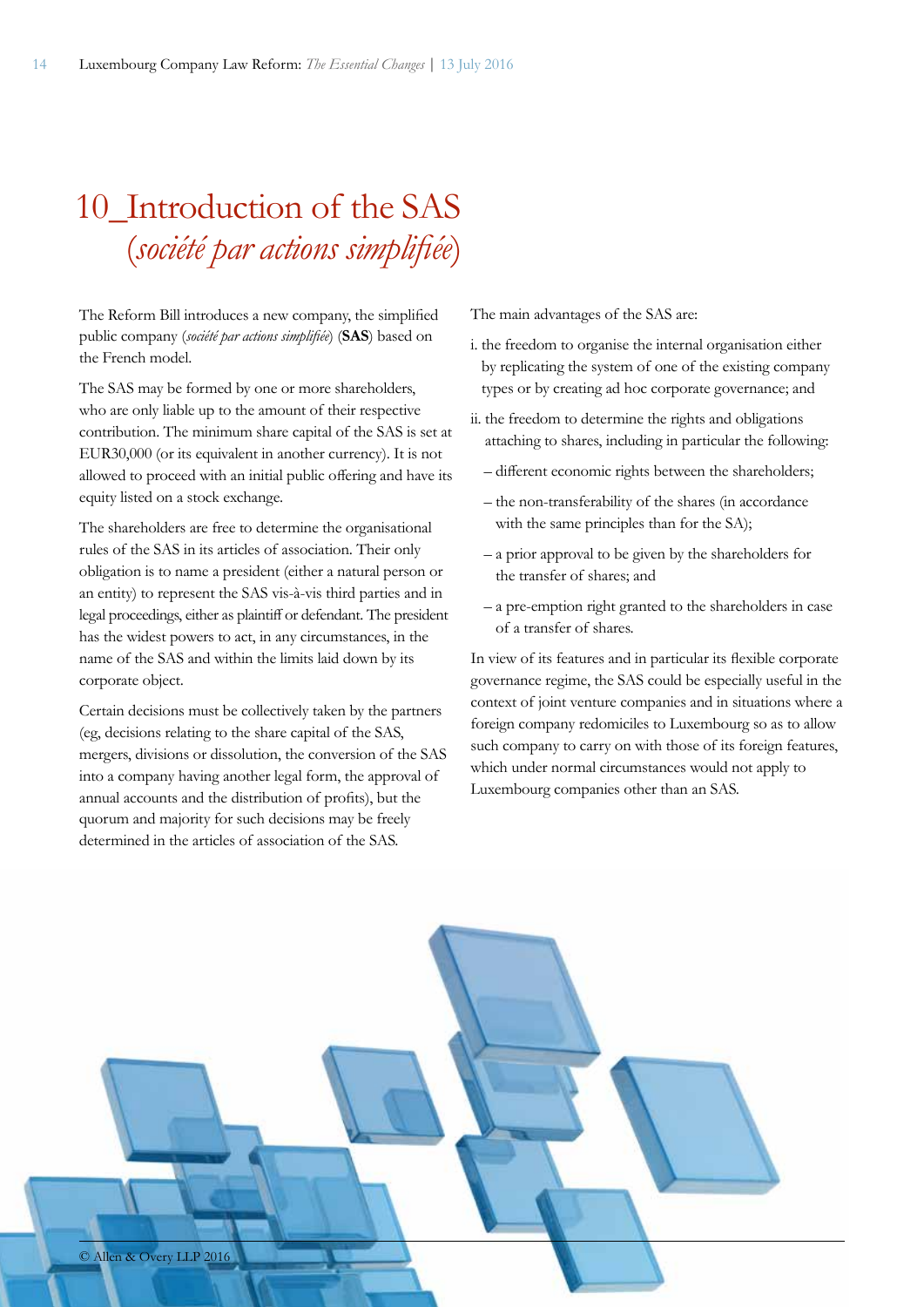### 10 Introduction of the SAS (*société par actions simplifiée*)

The Reform Bill introduces a new company, the simplified public company (*société par actions simplifiée*) (**SAS**) based on the French model.

The SAS may be formed by one or more shareholders, who are only liable up to the amount of their respective contribution. The minimum share capital of the SAS is set at EUR30,000 (or its equivalent in another currency). It is not allowed to proceed with an initial public offering and have its equity listed on a stock exchange.

The shareholders are free to determine the organisational rules of the SAS in its articles of association. Their only obligation is to name a president (either a natural person or an entity) to represent the SAS vis-à-vis third parties and in legal proceedings, either as plaintiff or defendant. The president has the widest powers to act, in any circumstances, in the name of the SAS and within the limits laid down by its corporate object.

Certain decisions must be collectively taken by the partners (eg, decisions relating to the share capital of the SAS, mergers, divisions or dissolution, the conversion of the SAS into a company having another legal form, the approval of annual accounts and the distribution of profits), but the quorum and majority for such decisions may be freely determined in the articles of association of the SAS.

The main advantages of the SAS are:

- i. the freedom to organise the internal organisation either by replicating the system of one of the existing company types or by creating ad hoc corporate governance; and
- ii. the freedom to determine the rights and obligations attaching to shares, including in particular the following:
	- different economic rights between the shareholders;
	- the non-transferability of the shares (in accordance with the same principles than for the SA);
	- a prior approval to be given by the shareholders for the transfer of shares; and
	- a pre-emption right granted to the shareholders in case of a transfer of shares.

In view of its features and in particular its flexible corporate governance regime, the SAS could be especially useful in the context of joint venture companies and in situations where a foreign company redomiciles to Luxembourg so as to allow such company to carry on with those of its foreign features, which under normal circumstances would not apply to Luxembourg companies other than an SAS.

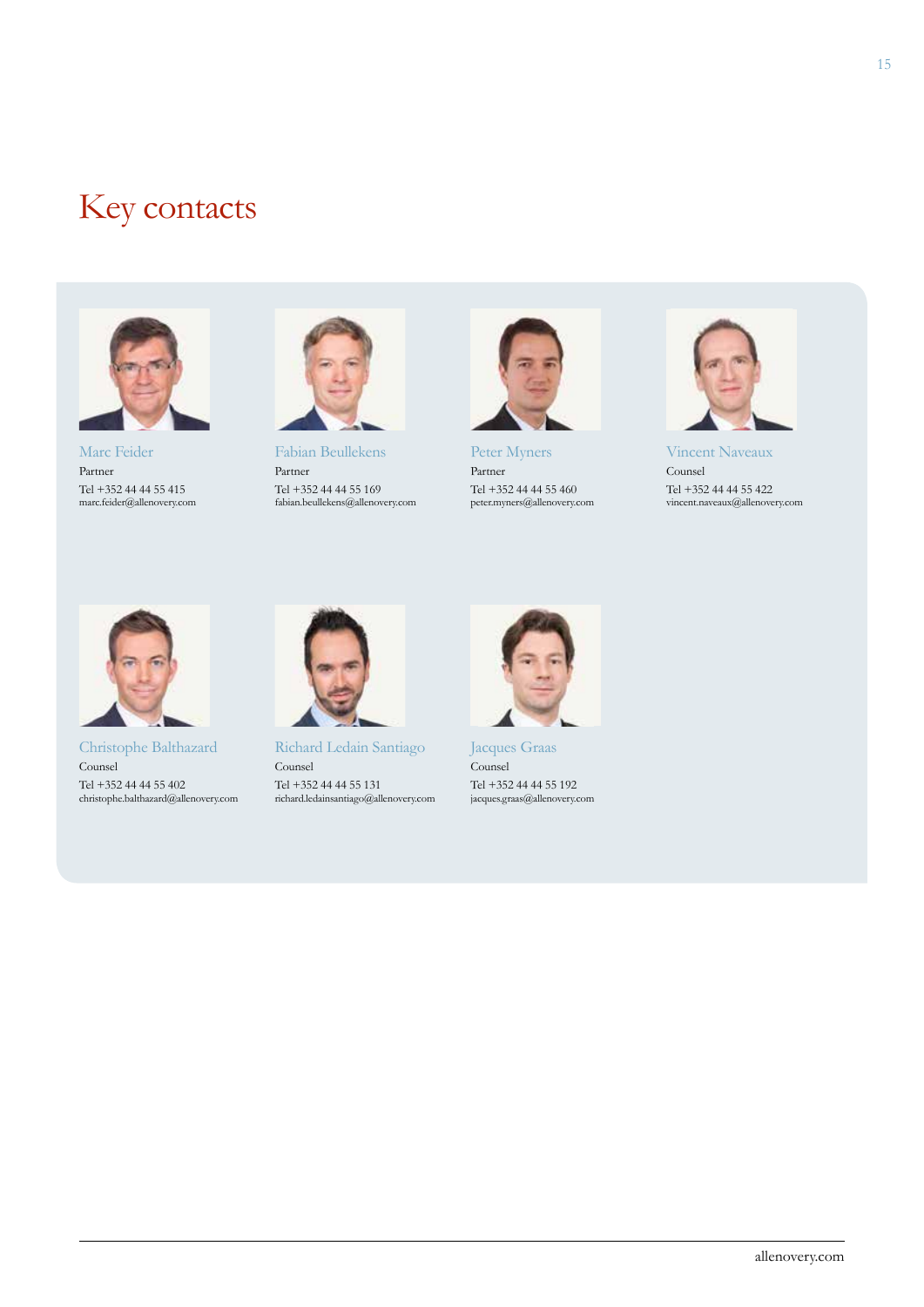### Key contacts



Marc Feider Partner Tel +352 44 44 55 415 marc.feider@allenovery.com



Fabian Beullekens Partner Tel +352 44 44 55 169 fabian.beullekens@allenovery.com



Peter Myners Partner Tel +352 44 44 55 460 peter.myners@allenovery.com



Vincent Naveaux Counsel Tel +352 44 44 55 422 vincent.naveaux@allenovery.com



Christophe Balthazard Counsel Tel +352 44 44 55 402 christophe.balthazard@allenovery.com



Richard Ledain Santiago Counsel Tel +352 44 44 55 131 richard.ledainsantiago@allenovery.com



Jacques Graas Counsel Tel +352 44 44 55 192 jacques.graas@allenovery.com